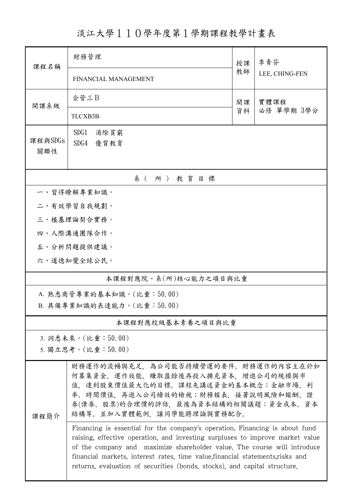淡江大學110學年度第1學期課程教學計畫表

| 課程名稱                  | 財務管理                                                                                                                                                                                                                                                                                                                                                                                                    | 授課       | 李青芬<br>LEE, CHING-FEN |  |  |  |  |  |  |  |
|-----------------------|---------------------------------------------------------------------------------------------------------------------------------------------------------------------------------------------------------------------------------------------------------------------------------------------------------------------------------------------------------------------------------------------------------|----------|-----------------------|--|--|--|--|--|--|--|
|                       | <b>FINANCIAL MANAGEMENT</b>                                                                                                                                                                                                                                                                                                                                                                             | 教師       |                       |  |  |  |  |  |  |  |
| 開課系級                  | 企管三B                                                                                                                                                                                                                                                                                                                                                                                                    | 開課<br>資料 | 實體課程<br>必修 單學期 3學分    |  |  |  |  |  |  |  |
|                       | <b>TLCXB3B</b>                                                                                                                                                                                                                                                                                                                                                                                          |          |                       |  |  |  |  |  |  |  |
| 課程與SDGs<br>關聯性        | SDG1<br>消除貧窮<br>SDG4<br>優質教育                                                                                                                                                                                                                                                                                                                                                                            |          |                       |  |  |  |  |  |  |  |
| 系(所)教育目標              |                                                                                                                                                                                                                                                                                                                                                                                                         |          |                       |  |  |  |  |  |  |  |
|                       | 一、習得瞭解專業知識。                                                                                                                                                                                                                                                                                                                                                                                             |          |                       |  |  |  |  |  |  |  |
|                       | 二、有效學習自我規劃。                                                                                                                                                                                                                                                                                                                                                                                             |          |                       |  |  |  |  |  |  |  |
|                       | 三、植基理論契合實務。                                                                                                                                                                                                                                                                                                                                                                                             |          |                       |  |  |  |  |  |  |  |
|                       | 四、人際溝通團隊合作。                                                                                                                                                                                                                                                                                                                                                                                             |          |                       |  |  |  |  |  |  |  |
|                       | 五、分析問題提供建議。                                                                                                                                                                                                                                                                                                                                                                                             |          |                       |  |  |  |  |  |  |  |
|                       | 六、道德知覺全球公民。                                                                                                                                                                                                                                                                                                                                                                                             |          |                       |  |  |  |  |  |  |  |
| 本課程對應院、系(所)核心能力之項目與比重 |                                                                                                                                                                                                                                                                                                                                                                                                         |          |                       |  |  |  |  |  |  |  |
|                       | A. 熟悉商管專業的基本知識。(比重:50.00)                                                                                                                                                                                                                                                                                                                                                                               |          |                       |  |  |  |  |  |  |  |
|                       | B. 具備專業知識的表達能力。(比重:50.00)                                                                                                                                                                                                                                                                                                                                                                               |          |                       |  |  |  |  |  |  |  |
|                       | 本課程對應校級基本素養之項目與比重                                                                                                                                                                                                                                                                                                                                                                                       |          |                       |  |  |  |  |  |  |  |
|                       | 3. 洞悉未來。(比重:50.00)                                                                                                                                                                                                                                                                                                                                                                                      |          |                       |  |  |  |  |  |  |  |
|                       | 5. 獨立思考。(比重:50.00)                                                                                                                                                                                                                                                                                                                                                                                      |          |                       |  |  |  |  |  |  |  |
| 課程簡介                  | 財務運作的流暢與充足,為公司能否持續營運的要件。財務運作的內容主在於如<br>何募集資金、運作效能、賺取盈餘後再投入擴充資本、增進公司的規模與市<br>值,達到股東價值最大化的目標。課程先講述資金的基本概念:金融市場、利<br>率、時間價值、再進入公司績效的檢視:財務報表,接著說明風險和報酬、證<br>券(債券、股票)的合理價的評估,最後為資本結構的相關議題:資金成本、資本<br>結構等。並加入實體範例,讓同學能將理論與實務配合。                                                                                                                                                                               |          |                       |  |  |  |  |  |  |  |
|                       | Financing is essential for the company's operation. Financing is about fund<br>raising, effective operation, and investing surpluses to improve market value<br>of the company and maximize shareholder value. The course will introduce<br>financial markets, interest rates, time value, financial statements, risks and<br>returns, evaluation of securities (bonds, stocks), and capital structure. |          |                       |  |  |  |  |  |  |  |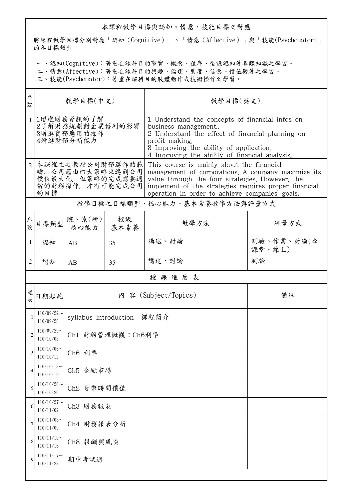## 本課程教學目標與認知、情意、技能目標之對應

將課程教學目標分別對應「認知(Cognitive)」、「情意(Affective)」與「技能(Psychomotor)」 的各目標類型。

一、認知(Cognitive):著重在該科目的事實、概念、程序、後設認知等各類知識之學習。

二、情意(Affective):著重在該科目的興趣、倫理、態度、信念、價值觀等之學習。

三、技能(Psychomotor):著重在該科目的肢體動作或技術操作之學習。

| 序<br>號         | 教學目標(中文)                                                                          |                            |            | 教學目標(英文)                                                                                                                                                                                                                                                       |                      |  |  |  |  |
|----------------|-----------------------------------------------------------------------------------|----------------------------|------------|----------------------------------------------------------------------------------------------------------------------------------------------------------------------------------------------------------------------------------------------------------------|----------------------|--|--|--|--|
|                | 1 1增進財務資訊的了解<br>2了解財務規劃對企業獲利的影響<br>3增進實務應用的操作<br>4增進財務分析能力                        |                            |            | 1 Understand the concepts of financial infos on<br>business management.<br>2 Understand the effect of financial planning on<br>profit making.<br>3 Improving the ability of application.<br>4 Improving the ability of financial analysis.                     |                      |  |  |  |  |
| $\overline{2}$ | 本課程主要教授公司財務運作的範<br>疇。公司藉由四大策略來達到公司<br>價值最大化, 但策略的完成需要適<br>當的財務操作, 才有可能完成公司<br>的目標 |                            |            | This course is mainly about the financial<br>management of corporations. A company maximize its<br>value through the four strategies. However, the<br>implement of the strategies requires proper financial<br>operation in order to achieve companies' goals. |                      |  |  |  |  |
|                | 教學目標之目標類型、核心能力、基本素養教學方法與評量方式                                                      |                            |            |                                                                                                                                                                                                                                                                |                      |  |  |  |  |
| 序號             | 目標類型                                                                              | 院、系 $(\text{m})$<br>核心能力   | 校級<br>基本素養 | 教學方法                                                                                                                                                                                                                                                           | 評量方式                 |  |  |  |  |
| 1              | 認知                                                                                | AB                         | 35         | 講述、討論                                                                                                                                                                                                                                                          | 測驗、作業、討論(含<br>課堂、線上) |  |  |  |  |
| 2              | 認知                                                                                | AB                         | 35         | 講述、討論                                                                                                                                                                                                                                                          | 測驗                   |  |  |  |  |
|                | 授課進度表                                                                             |                            |            |                                                                                                                                                                                                                                                                |                      |  |  |  |  |
| 週次             | 日期起訖                                                                              |                            |            | 內 容 (Subject/Topics)                                                                                                                                                                                                                                           | 備註                   |  |  |  |  |
|                | $110/09/22$ ~<br>110/09/28                                                        | syllabus introduction 課程簡介 |            |                                                                                                                                                                                                                                                                |                      |  |  |  |  |
| $\overline{c}$ | $110/09/29$ ~<br>110/10/05                                                        | Ch1 財務管理概觀; Ch6利率          |            |                                                                                                                                                                                                                                                                |                      |  |  |  |  |
| 3              | $110/10/06 \sim$<br>110/10/12                                                     | Ch6 利率                     |            |                                                                                                                                                                                                                                                                |                      |  |  |  |  |
| 4              | $110/10/13$ ~<br>110/10/19                                                        | Ch5 金融市場                   |            |                                                                                                                                                                                                                                                                |                      |  |  |  |  |
| 5              | $110/10/20$ ~<br>110/10/26                                                        | Ch2 貨幣時間價值                 |            |                                                                                                                                                                                                                                                                |                      |  |  |  |  |
| 6              | $110/10/27$ ~<br>110/11/02                                                        | Ch3 財務報表                   |            |                                                                                                                                                                                                                                                                |                      |  |  |  |  |
|                | $110/11/03$ ~<br>110/11/09                                                        | Ch4 財務報表分析                 |            |                                                                                                                                                                                                                                                                |                      |  |  |  |  |
| 8              | $110/11/10$ ~<br>110/11/16                                                        | Ch8 報酬與風險                  |            |                                                                                                                                                                                                                                                                |                      |  |  |  |  |
| 9              | $110/11/17$ ~<br>110/11/23                                                        | 期中考試週                      |            |                                                                                                                                                                                                                                                                |                      |  |  |  |  |
|                |                                                                                   |                            |            |                                                                                                                                                                                                                                                                |                      |  |  |  |  |